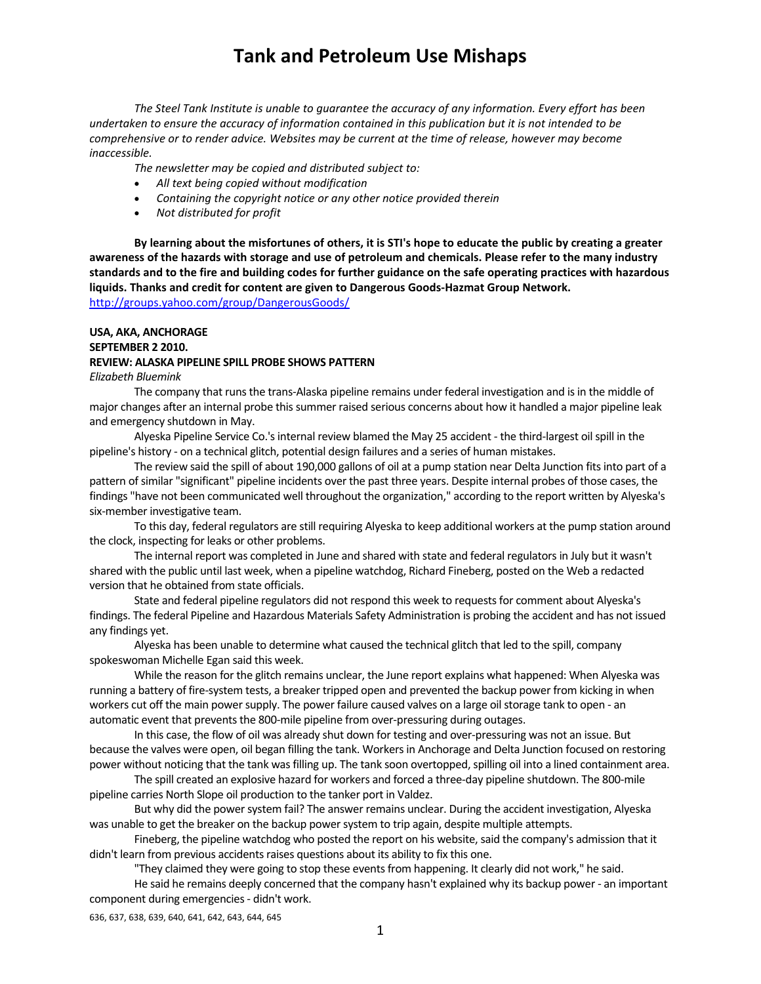*The Steel Tank Institute is unable to guarantee the accuracy of any information. Every effort has been* undertaken to ensure the accuracy of information contained in this publication but it is not intended to be *comprehensive or to render advice. Websites may be current at the time of release, however may become inaccessible.*

*The newsletter may be copied and distributed subject to:*

- *All text being copied without modification*
- *Containing the copyright notice or any other notice provided therein*
- *Not distributed for profit*

By learning about the misfortunes of others, it is STI's hope to educate the public by creating a greater awareness of the hazards with storage and use of petroleum and chemicals. Please refer to the many industry standards and to the fire and building codes for further guidance on the safe operating practices with hazardous **liquids. Thanks and credit for content are given to Dangerous Goods‐Hazmat Group Network.**  http://groups.yahoo.com/group/DangerousGoods/

## **USA, AKA, ANCHORAGE SEPTEMBER 2 2010.**

### **REVIEW: ALASKA PIPELINE SPILL PROBE SHOWS PATTERN**

*Elizabeth Bluemink*

The company that runs the trans-Alaska pipeline remains under federal investigation and is in the middle of major changes after an internal probe thissummer raised serious concerns about how it handled a major pipeline leak and emergency shutdown in May.

Alyeska Pipeline Service Co.'sinternal review blamed the May 25 accident ‐ the third‐largest oilspill in the pipeline's history - on a technical glitch, potential design failures and a series of human mistakes.

The review said the spill of about 190,000 gallons of oil at a pump station near Delta Junction fitsinto part of a pattern of similar "significant" pipeline incidents over the past three years. Despite internal probes of those cases, the findings "have not been communicated well throughout the organization," according to the report written by Alyeska's six‐member investigative team.

To this day, federal regulators are still requiring Alyeska to keep additional workers at the pump station around the clock, inspecting for leaks or other problems.

The internal report was completed in June and shared with state and federal regulators in July but it wasn't shared with the public until last week, when a pipeline watchdog, Richard Fineberg, posted on the Web a redacted version that he obtained from state officials.

State and federal pipeline regulators did not respond this week to requests for comment about Alyeska's findings. The federal Pipeline and Hazardous Materials Safety Administration is probing the accident and has not issued any findings yet.

Alyeska has been unable to determine what caused the technical glitch that led to the spill, company spokeswoman Michelle Egan said this week.

While the reason for the glitch remains unclear, the June report explains what happened: When Alyeska was running a battery of fire‐system tests, a breaker tripped open and prevented the backup power from kicking in when workers cut off the main power supply. The power failure caused valves on a large oil storage tank to open - an automatic event that prevents the 800-mile pipeline from over-pressuring during outages.

In this case, the flow of oil was already shut down for testing and over-pressuring was not an issue. But because the valves were open, oil began filling the tank. Workersin Anchorage and Delta Junction focused on restoring power without noticing that the tank was filling up. The tank soon overtopped, spilling oil into a lined containment area.

The spill created an explosive hazard for workers and forced a three‐day pipeline shutdown. The 800‐mile pipeline carries North Slope oil production to the tanker port in Valdez.

But why did the power system fail? The answer remains unclear. During the accident investigation, Alyeska was unable to get the breaker on the backup power system to trip again, despite multiple attempts.

Fineberg, the pipeline watchdog who posted the report on his website, said the company's admission that it didn't learn from previous accidents raises questions about its ability to fix this one.

"They claimed they were going to stop these eventsfrom happening. It clearly did not work," he said.

He said he remains deeply concerned that the company hasn't explained why its backup power ‐ an important component during emergencies ‐ didn't work.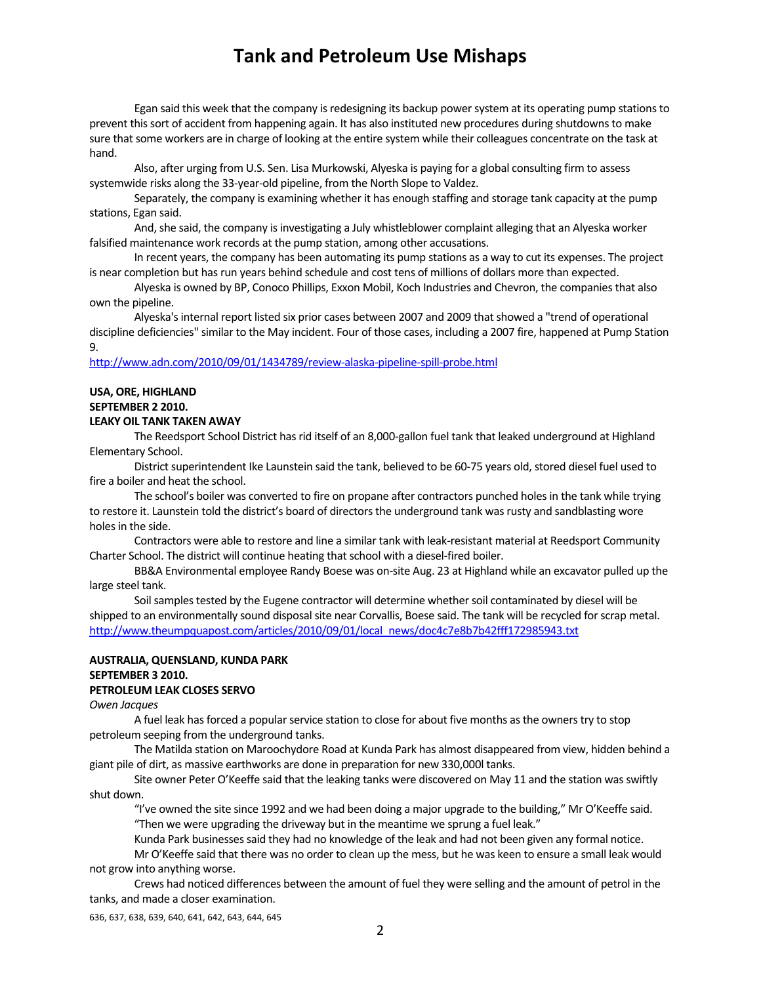Egan said this week that the company is redesigning its backup power system at its operating pump stations to prevent thissort of accident from happening again. It has also instituted new procedures during shutdownsto make sure that some workers are in charge of looking at the entire system while their colleagues concentrate on the task at hand.

Also, after urging from U.S. Sen. Lisa Murkowski, Alyeska is paying for a global consulting firm to assess systemwide risks along the 33‐year‐old pipeline, from the North Slope to Valdez.

Separately, the company is examining whether it has enough staffing and storage tank capacity at the pump stations, Egan said.

And, she said, the company is investigating a July whistleblower complaint alleging that an Alyeska worker falsified maintenance work records at the pump station, among other accusations.

In recent years, the company has been automating its pump stations as a way to cut its expenses. The project is near completion but has run years behind schedule and cost tens of millions of dollars more than expected.

Alyeska is owned by BP, Conoco Phillips, Exxon Mobil, Koch Industries and Chevron, the companies that also own the pipeline.

Alyeska's internal report listed six prior cases between 2007 and 2009 that showed a "trend of operational discipline deficiencies" similar to the May incident. Four of those cases, including a 2007 fire, happened at Pump Station 9.

### http://www.adn.com/2010/09/01/1434789/review‐alaska‐pipeline‐spill‐probe.html

### **USA, ORE, HIGHLAND SEPTEMBER 2 2010. LEAKY OIL TANK TAKEN AWAY**

The Reedsport School District has rid itself of an 8,000-gallon fuel tank that leaked underground at Highland Elementary School.

District superintendent Ike Launstein said the tank, believed to be 60-75 years old, stored diesel fuel used to fire a boiler and heat the school.

The school's boiler was converted to fire on propane after contractors punched holesin the tank while trying to restore it. Launstein told the district's board of directors the underground tank was rusty and sandblasting wore holes in the side.

Contractors were able to restore and line a similar tank with leak‐resistant material at Reedsport Community Charter School. The district will continue heating that school with a diesel-fired boiler.

BB&A Environmental employee Randy Boese was on‐site Aug. 23 at Highland while an excavator pulled up the large steel tank.

Soil samples tested by the Eugene contractor will determine whether soil contaminated by diesel will be shipped to an environmentally sound disposal site near Corvallis, Boese said. The tank will be recycled for scrap metal. http://www.theumpquapost.com/articles/2010/09/01/local\_news/doc4c7e8b7b42fff172985943.txt

### **AUSTRALIA, QUENSLAND, KUNDA PARK SEPTEMBER 3 2010. PETROLEUM LEAK CLOSES SERVO**

*Owen Jacques*

A fuel leak has forced a popular service station to close for about five months as the owners try to stop petroleum seeping from the underground tanks.

The Matilda station on Maroochydore Road at Kunda Park has almost disappeared from view, hidden behind a giant pile of dirt, as massive earthworks are done in preparation for new 330,000l tanks.

Site owner Peter O'Keeffe said that the leaking tanks were discovered on May 11 and the station was swiftly shut down.

"I've owned the site since 1992 and we had been doing a major upgrade to the building," Mr O'Keeffe said. "Then we were upgrading the driveway but in the meantime we sprung a fuel leak."

Kunda Park businessessaid they had no knowledge of the leak and had not been given any formal notice.

Mr O'Keeffe said that there was no order to clean up the mess, but he was keen to ensure a small leak would not grow into anything worse.

Crews had noticed differences between the amount of fuel they were selling and the amount of petrol in the tanks, and made a closer examination.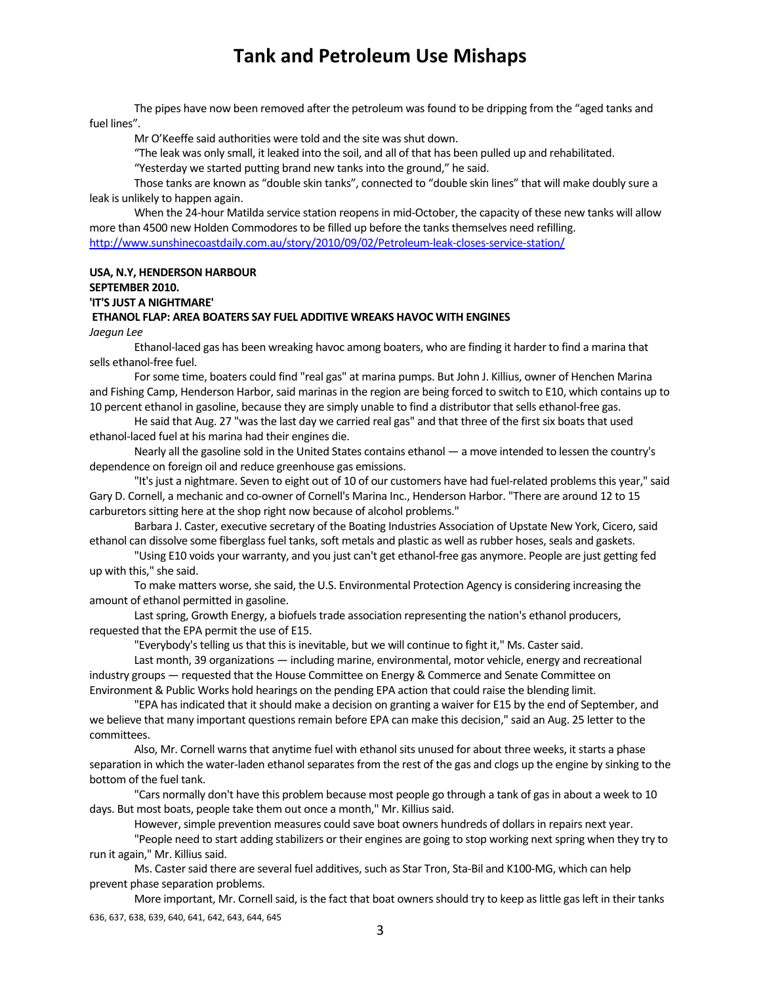The pipes have now been removed after the petroleum was found to be dripping from the "aged tanks and fuel lines".

Mr O'Keeffe said authorities were told and the site was shut down.

"The leak was only small, it leaked into the soil, and all of that has been pulled up and rehabilitated.

"Yesterday we started putting brand new tanks into the ground," he said.

Those tanks are known as "double skin tanks", connected to "double skin lines" that will make doubly sure a leak is unlikely to happen again.

When the 24-hour Matilda service station reopens in mid-October, the capacity of these new tanks will allow more than 4500 new Holden Commodores to be filled up before the tanks themselves need refilling. http://www.sunshinecoastdaily.com.au/story/2010/09/02/Petroleum-leak-closes-service-station/

### **USA, N.Y, HENDERSON HARBOUR**

**SEPTEMBER 2010.** 

## **'IT'S JUST A NIGHTMARE'**

### **ETHANOL FLAP: AREA BOATERS SAY FUEL ADDITIVE WREAKS HAVOC WITH ENGINES**

*Jaegun Lee*

Ethanol‐laced gas has been wreaking havoc among boaters, who are finding it harder to find a marina that sells ethanol‐free fuel.

Forsome time, boaters could find "real gas" at marina pumps. But John J. Killius, owner of Henchen Marina and Fishing Camp, Henderson Harbor, said marinas in the region are being forced to switch to E10, which contains up to 10 percent ethanol in gasoline, because they are simply unable to find a distributor that sells ethanol-free gas.

He said that Aug. 27 "was the last day we carried real gas" and that three of the first six boats that used ethanol-laced fuel at his marina had their engines die.

Nearly all the gasoline sold in the United States contains ethanol — a move intended to lessen the country's dependence on foreign oil and reduce greenhouse gas emissions.

"It's just a nightmare. Seven to eight out of 10 of our customers have had fuel-related problems this year," said Gary D. Cornell, a mechanic and co-owner of Cornell's Marina Inc., Henderson Harbor. "There are around 12 to 15 carburetors sitting here at the shop right now because of alcohol problems."

Barbara J. Caster, executive secretary of the Boating Industries Association of Upstate New York, Cicero, said ethanol can dissolve some fiberglass fuel tanks, soft metals and plastic as well as rubber hoses, seals and gaskets.

"Using E10 voids your warranty, and you just can't get ethanol‐free gas anymore. People are just getting fed up with this," she said.

To make matters worse, she said, the U.S. Environmental Protection Agency is considering increasing the amount of ethanol permitted in gasoline.

Last spring, Growth Energy, a biofuels trade association representing the nation's ethanol producers, requested that the EPA permit the use of E15.

"Everybody's telling us that this is inevitable, but we will continue to fight it," Ms. Caster said.

Last month, 39 organizations — including marine, environmental, motor vehicle, energy and recreational industry groups — requested that the House Committee on Energy & Commerce and Senate Committee on Environment & Public Works hold hearings on the pending EPA action that could raise the blending limit.

"EPA has indicated that it should make a decision on granting a waiver for E15 by the end of September, and we believe that many important questions remain before EPA can make this decision," said an Aug. 25 letter to the committees.

Also, Mr. Cornell warns that anytime fuel with ethanol sits unused for about three weeks, it starts a phase separation in which the water-laden ethanol separates from the rest of the gas and clogs up the engine by sinking to the bottom of the fuel tank.

"Cars normally don't have this problem because most people go through a tank of gas in about a week to 10 days. But most boats, people take them out once a month," Mr. Killius said.

However, simple prevention measures could save boat owners hundreds of dollars in repairs next year.

"People need to start adding stabilizers or their engines are going to stop working next spring when they try to run it again," Mr. Killius said.

Ms. Caster said there are several fuel additives, such as Star Tron, Sta-Bil and K100-MG, which can help prevent phase separation problems.

636, 637, 638, 639, 640, 641, 642, 643, 644, 645 More important, Mr. Cornell said, is the fact that boat owners should try to keep as little gas left in their tanks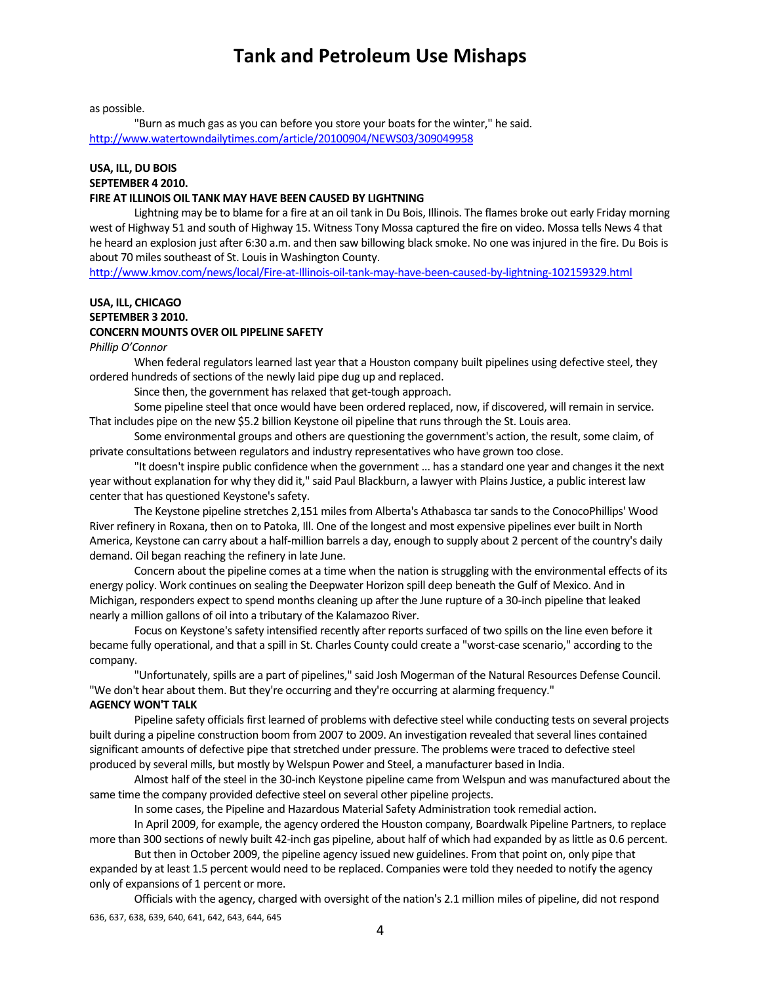as possible.

"Burn as much gas as you can before you store your boats for the winter," he said. http://www.watertowndailytimes.com/article/20100904/NEWS03/309049958

### **USA, ILL, DU BOIS SEPTEMBER 4 2010.**

#### **FIRE AT ILLINOIS OIL TANK MAY HAVE BEEN CAUSED BY LIGHTNING**

Lightning may be to blame for a fire at an oil tank in Du Bois, Illinois. The flames broke out early Friday morning west of Highway 51 and south of Highway 15. Witness Tony Mossa captured the fire on video. Mossa tells News 4 that he heard an explosion just after 6:30 a.m. and then saw billowing black smoke. No one was injured in the fire. Du Bois is about 70 miles southeast of St. Louis in Washington County.

http://www.kmov.com/news/local/Fire-at-Illinois-oil-tank-may-have-been-caused-by-lightning-102159329.html

## **USA, ILL, CHICAGO SEPTEMBER 3 2010. CONCERN MOUNTS OVER OIL PIPELINE SAFETY**

### *Phillip O'Connor*

When federal regulators learned last year that a Houston company built pipelines using defective steel, they ordered hundreds of sections of the newly laid pipe dug up and replaced.

Since then, the government has relaxed that get-tough approach.

Some pipeline steel that once would have been ordered replaced, now, if discovered, will remain in service. That includes pipe on the new \$5.2 billion Keystone oil pipeline that runsthrough the St. Louis area.

Some environmental groups and others are questioning the government's action, the result, some claim, of private consultations between regulators and industry representatives who have grown too close.

"It doesn't inspire public confidence when the government ... has a standard one year and changes it the next year without explanation for why they did it," said Paul Blackburn, a lawyer with Plains Justice, a public interest law center that has questioned Keystone's safety.

The Keystone pipeline stretches 2,151 miles from Alberta's Athabasca tar sands to the ConocoPhillips' Wood River refinery in Roxana, then on to Patoka, Ill. One of the longest and most expensive pipelines ever built in North America, Keystone can carry about a half‐million barrels a day, enough to supply about 2 percent of the country's daily demand. Oil began reaching the refinery in late June.

Concern about the pipeline comes at a time when the nation isstruggling with the environmental effects of its energy policy. Work continues on sealing the Deepwater Horizon spill deep beneath the Gulf of Mexico. And in Michigan, responders expect to spend months cleaning up after the June rupture of a 30‐inch pipeline that leaked nearly a million gallons of oil into a tributary of the Kalamazoo River.

Focus on Keystone's safety intensified recently after reports surfaced of two spills on the line even before it became fully operational, and that a spill in St. Charles County could create a "worst‐case scenario," according to the company.

"Unfortunately, spills are a part of pipelines," said Josh Mogerman of the Natural Resources Defense Council. "We don't hear about them. But they're occurring and they're occurring at alarming frequency."

### **AGENCY WON'T TALK**

Pipeline safety officials first learned of problems with defective steel while conducting tests on several projects built during a pipeline construction boom from 2007 to 2009. An investigation revealed that several lines contained significant amounts of defective pipe that stretched under pressure. The problems were traced to defective steel produced by several mills, but mostly by Welspun Power and Steel, a manufacturer based in India.

Almost half of the steel in the 30‐inch Keystone pipeline came from Welspun and was manufactured about the same time the company provided defective steel on several other pipeline projects.

In some cases, the Pipeline and Hazardous Material Safety Administration took remedial action.

In April 2009, for example, the agency ordered the Houston company, Boardwalk Pipeline Partners, to replace more than 300 sections of newly built 42-inch gas pipeline, about half of which had expanded by as little as 0.6 percent.

But then in October 2009, the pipeline agency issued new guidelines. From that point on, only pipe that expanded by at least 1.5 percent would need to be replaced. Companies were told they needed to notify the agency only of expansions of 1 percent or more.

636, 637, 638, 639, 640, 641, 642, 643, 644, 645 Officials with the agency, charged with oversight of the nation's 2.1 million miles of pipeline, did not respond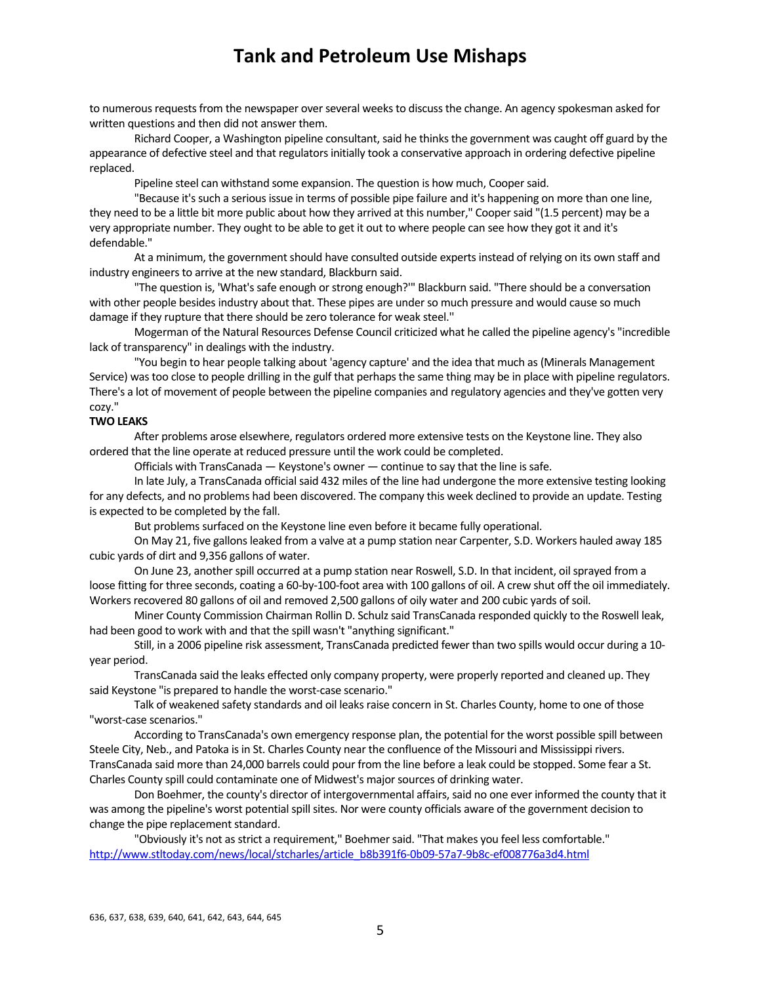to numerous requests from the newspaper over several weeks to discuss the change. An agency spokesman asked for written questions and then did not answer them.

Richard Cooper, a Washington pipeline consultant, said he thinks the government was caught off guard by the appearance of defective steel and that regulators initially took a conservative approach in ordering defective pipeline replaced.

Pipeline steel can withstand some expansion. The question is how much, Cooper said.

"Because it's such a serious issue in terms of possible pipe failure and it's happening on more than one line, they need to be a little bit more public about how they arrived at this number," Coopersaid "(1.5 percent) may be a very appropriate number. They ought to be able to get it out to where people can see how they got it and it's defendable."

At a minimum, the government should have consulted outside experts instead of relying on its own staff and industry engineers to arrive at the new standard, Blackburn said.

"The question is, 'What's safe enough or strong enough?'" Blackburn said. "There should be a conversation with other people besides industry about that. These pipes are under so much pressure and would cause so much damage if they rupture that there should be zero tolerance for weak steel.''

Mogerman of the Natural Resources Defense Council criticized what he called the pipeline agency's "incredible lack of transparency" in dealings with the industry.

"You begin to hear people talking about 'agency capture' and the idea that much as(Minerals Management Service) was too close to people drilling in the gulf that perhaps the same thing may be in place with pipeline regulators. There's a lot of movement of people between the pipeline companies and regulatory agencies and they've gotten very cozy."

#### **TWO LEAKS**

After problems arose elsewhere, regulators ordered more extensive tests on the Keystone line. They also ordered that the line operate at reduced pressure until the work could be completed.

Officials with TransCanada  $-$  Keystone's owner  $-$  continue to say that the line is safe.

In late July, a TransCanada official said 432 miles of the line had undergone the more extensive testing looking for any defects, and no problems had been discovered. The company this week declined to provide an update. Testing is expected to be completed by the fall.

But problems surfaced on the Keystone line even before it became fully operational.

On May 21, five gallonsleaked from a valve at a pump station near Carpenter, S.D. Workers hauled away 185 cubic yards of dirt and 9,356 gallons of water.

On June 23, another spill occurred at a pump station near Roswell, S.D. In that incident, oil sprayed from a loose fitting for three seconds, coating a 60‐by‐100‐foot area with 100 gallons of oil. A crew shut off the oil immediately. Workers recovered 80 gallons of oil and removed 2,500 gallons of oily water and 200 cubic yards of soil.

Miner County Commission Chairman Rollin D. Schulz said TransCanada responded quickly to the Roswell leak, had been good to work with and that the spill wasn't "anything significant."

Still, in a 2006 pipeline risk assessment, TransCanada predicted fewer than two spills would occur during a 10‐ year period.

TransCanada said the leaks effected only company property, were properly reported and cleaned up. They said Keystone "is prepared to handle the worst-case scenario."

Talk of weakened safety standards and oil leaks raise concern in St. Charles County, home to one of those "worst‐case scenarios."

According to TransCanada's own emergency response plan, the potential for the worst possible spill between Steele City, Neb., and Patoka is in St. Charles County near the confluence of the Missouri and Mississippi rivers. TransCanada said more than 24,000 barrels could pour from the line before a leak could be stopped. Some fear a St. Charles County spill could contaminate one of Midwest's major sources of drinking water.

Don Boehmer, the county's director of intergovernmental affairs, said no one ever informed the county that it was among the pipeline's worst potential spill sites. Nor were county officials aware of the government decision to change the pipe replacement standard.

"Obviously it's not as strict a requirement," Boehmer said. "That makes you feel less comfortable." http://www.stltoday.com/news/local/stcharles/article\_b8b391f6-0b09-57a7-9b8c-ef008776a3d4.html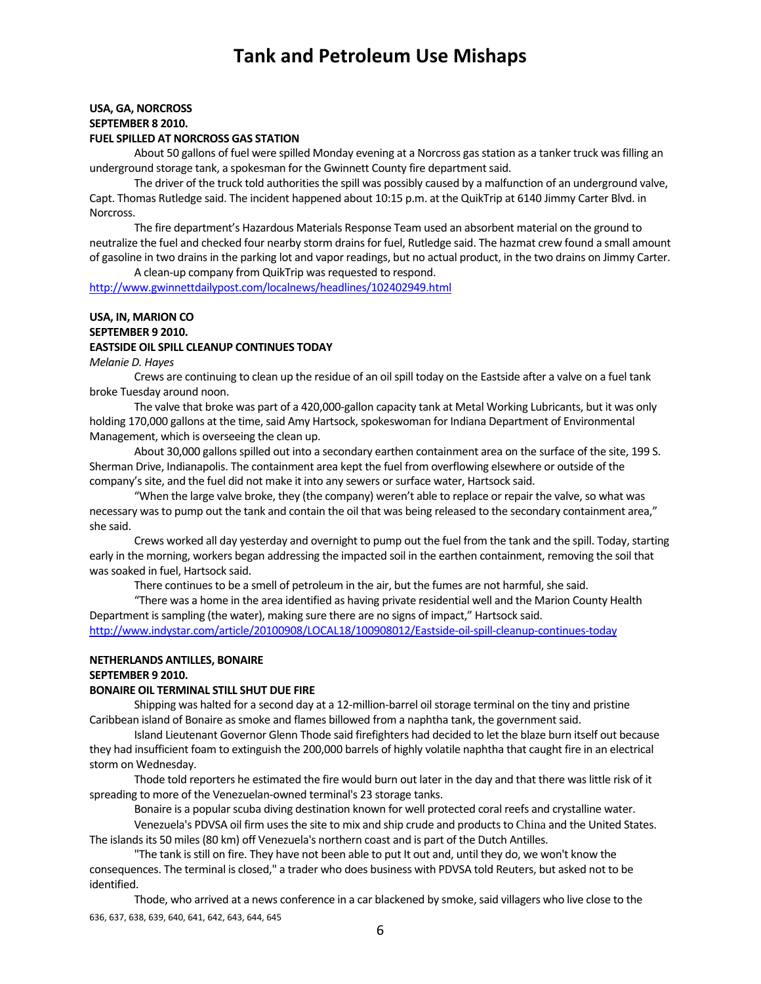## **USA, GA, NORCROSS SEPTEMBER 8 2010.**

## **FUEL SPILLED AT NORCROSS GAS STATION**

About 50 gallons of fuel were spilled Monday evening at a Norcross gas station as a tanker truck was filling an underground storage tank, a spokesman for the Gwinnett County fire department said.

The driver of the truck told authorities the spill was possibly caused by a malfunction of an underground valve, Capt. Thomas Rutledge said. The incident happened about 10:15 p.m. at the QuikTrip at 6140 Jimmy Carter Blvd. in Norcross.

The fire department's Hazardous Materials Response Team used an absorbent material on the ground to neutralize the fuel and checked four nearby storm drainsfor fuel, Rutledge said. The hazmat crew found a small amount of gasoline in two drainsin the parking lot and vapor readings, but no actual product, in the two drains on Jimmy Carter. A clean-up company from QuikTrip was requested to respond.

http://www.gwinnettdailypost.com/localnews/headlines/102402949.html

### **USA, IN, MARION CO SEPTEMBER 9 2010. EASTSIDE OIL SPILL CLEANUP CONTINUES TODAY**

## *Melanie D. Hayes*

Crews are continuing to clean up the residue of an oil spill today on the Eastside after a valve on a fuel tank broke Tuesday around noon.

The valve that broke was part of a 420,000‐gallon capacity tank at Metal Working Lubricants, but it was only holding 170,000 gallons at the time, said Amy Hartsock, spokeswoman for Indiana Department of Environmental Management, which is overseeing the clean up.

About 30,000 gallons spilled out into a secondary earthen containment area on the surface of the site, 199 S. Sherman Drive, Indianapolis. The containment area kept the fuel from overflowing elsewhere or outside of the company's site, and the fuel did not make it into any sewers or surface water, Hartsock said.

"When the large valve broke, they (the company) weren't able to replace or repair the valve, so what was necessary was to pump out the tank and contain the oil that was being released to the secondary containment area," she said.

Crews worked all day yesterday and overnight to pump out the fuel from the tank and the spill. Today, starting early in the morning, workers began addressing the impacted soil in the earthen containment, removing the soil that was soaked in fuel. Hartsock said.

There continues to be a smell of petroleum in the air, but the fumes are not harmful, she said.

"There was a home in the area identified as having private residential well and the Marion County Health Department issampling (the water), making sure there are no signs of impact," Hartsock said. http://www.indystar.com/article/20100908/LOCAL18/100908012/Eastside‐oil‐spill‐cleanup‐continues‐today

### **NETHERLANDS ANTILLES, BONAIRE**

#### **SEPTEMBER 9 2010.**

#### **BONAIRE OIL TERMINAL STILL SHUT DUE FIRE**

Shipping was halted for a second day at a 12‐million‐barrel oilstorage terminal on the tiny and pristine Caribbean island of Bonaire as smoke and flames billowed from a naphtha tank, the government said.

Island Lieutenant Governor Glenn Thode said firefighters had decided to let the blaze burn itself out because they had insufficient foam to extinguish the 200,000 barrels of highly volatile naphtha that caught fire in an electrical storm on Wednesday.

Thode told reporters he estimated the fire would burn out later in the day and that there was little risk of it spreading to more of the Venezuelan-owned terminal's 23 storage tanks.

Bonaire is a popular scuba diving destination known for well protected coral reefs and crystalline water.

Venezuela's PDVSA oil firm uses the site to mix and ship crude and products to China and the United States. The islandsits 50 miles(80 km) off Venezuela's northern coast and is part of the Dutch Antilles.

"The tank isstill on fire. They have not been able to put It out and, until they do, we won't know the consequences. The terminal is closed," a trader who does business with PDVSA told Reuters, but asked not to be identified.

636, 637, 638, 639, 640, 641, 642, 643, 644, 645 Thode, who arrived at a news conference in a car blackened by smoke, said villagers who live close to the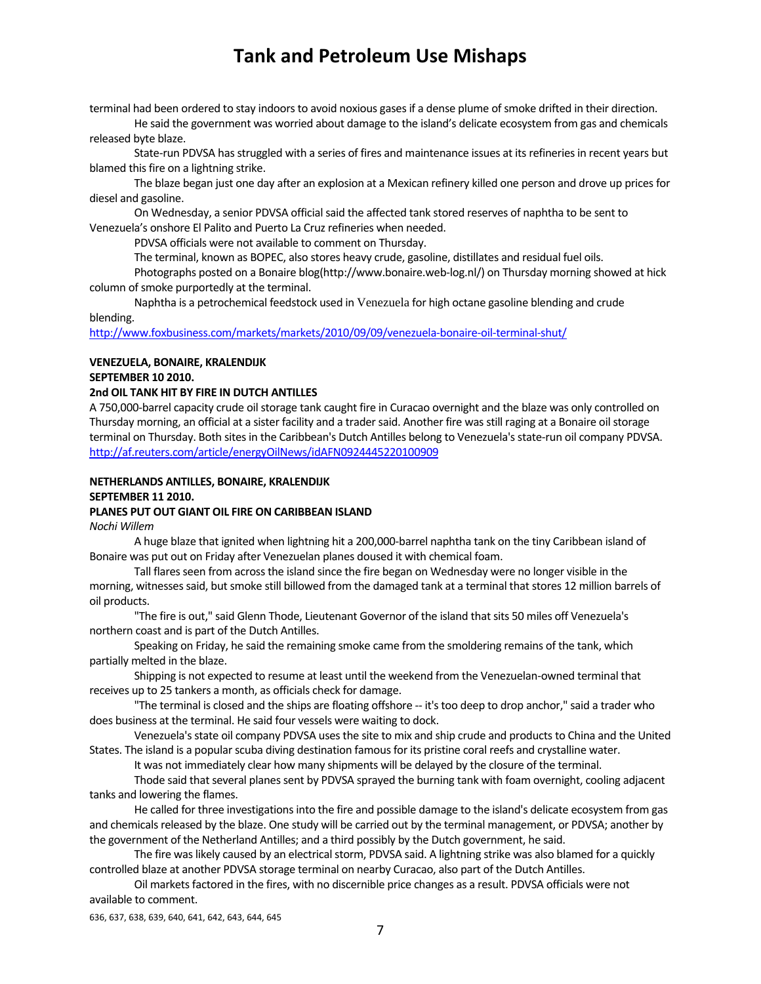terminal had been ordered to stay indoors to avoid noxious gases if a dense plume of smoke drifted in their direction.

He said the government was worried about damage to the island's delicate ecosystem from gas and chemicals released byte blaze.

State-run PDVSA has struggled with a series of fires and maintenance issues at its refineries in recent years but blamed this fire on a lightning strike.

The blaze began just one day after an explosion at a Mexican refinery killed one person and drove up pricesfor diesel and gasoline.

On Wednesday, a senior PDVSA official said the affected tank stored reserves of naphtha to be sent to Venezuela's onshore El Palito and Puerto La Cruz refineries when needed.

PDVSA officials were not available to comment on Thursday.

The terminal, known as BOPEC, also stores heavy crude, gasoline, distillates and residual fuel oils.

Photographs posted on a Bonaire blog(http://www.bonaire.web‐log.nl/) on Thursday morning showed at hick column of smoke purportedly at the terminal.

Naphtha is a petrochemical feedstock used in Venezuela for high octane gasoline blending and crude blending.

http://www.foxbusiness.com/markets/markets/2010/09/09/venezuela‐bonaire‐oil‐terminal‐shut/

### **VENEZUELA, BONAIRE, KRALENDIJK**

**SEPTEMBER 10 2010.** 

### **2nd OIL TANK HIT BY FIRE IN DUTCH ANTILLES**

A 750,000-barrel capacity crude oil storage tank caught fire in Curacao overnight and the blaze was only controlled on Thursday morning, an official at a sister facility and a trader said. Another fire was still raging at a Bonaire oil storage terminal on Thursday. Both sites in the Caribbean's Dutch Antilles belong to Venezuela's state-run oil company PDVSA. http://af.reuters.com/article/energyOilNews/idAFN0924445220100909

## **NETHERLANDS ANTILLES, BONAIRE, KRALENDIJK SEPTEMBER 11 2010.**

## **PLANES PUT OUT GIANT OIL FIRE ON CARIBBEAN ISLAND**

*Nochi Willem*

A huge blaze that ignited when lightning hit a 200,000‐barrel naphtha tank on the tiny Caribbean island of Bonaire was put out on Friday after Venezuelan planes doused it with chemical foam.

Tall flares seen from across the island since the fire began on Wednesday were no longer visible in the morning, witnesses said, but smoke still billowed from the damaged tank at a terminal that stores 12 million barrels of oil products.

"The fire is out," said Glenn Thode, Lieutenant Governor of the island that sits 50 miles off Venezuela's northern coast and is part of the Dutch Antilles.

Speaking on Friday, he said the remaining smoke came from the smoldering remains of the tank, which partially melted in the blaze.

Shipping is not expected to resume at least until the weekend from the Venezuelan‐owned terminal that receives up to 25 tankers a month, as officials check for damage.

"The terminal is closed and the ships are floating offshore ‐‐ it'stoo deep to drop anchor," said a trader who does business at the terminal. He said four vessels were waiting to dock.

Venezuela's state oil company PDVSA uses the site to mix and ship crude and products to China and the United States. The island is a popular scuba diving destination famous for its pristine coral reefs and crystalline water.

It was not immediately clear how many shipments will be delayed by the closure of the terminal.

Thode said that several planes sent by PDVSA sprayed the burning tank with foam overnight, cooling adjacent tanks and lowering the flames.

He called for three investigations into the fire and possible damage to the island's delicate ecosystem from gas and chemicals released by the blaze. One study will be carried out by the terminal management, or PDVSA; another by the government of the Netherland Antilles; and a third possibly by the Dutch government, he said.

The fire was likely caused by an electrical storm, PDVSA said. A lightning strike was also blamed for a quickly controlled blaze at another PDVSA storage terminal on nearby Curacao, also part of the Dutch Antilles.

Oil marketsfactored in the fires, with no discernible price changes as a result. PDVSA officials were not available to comment.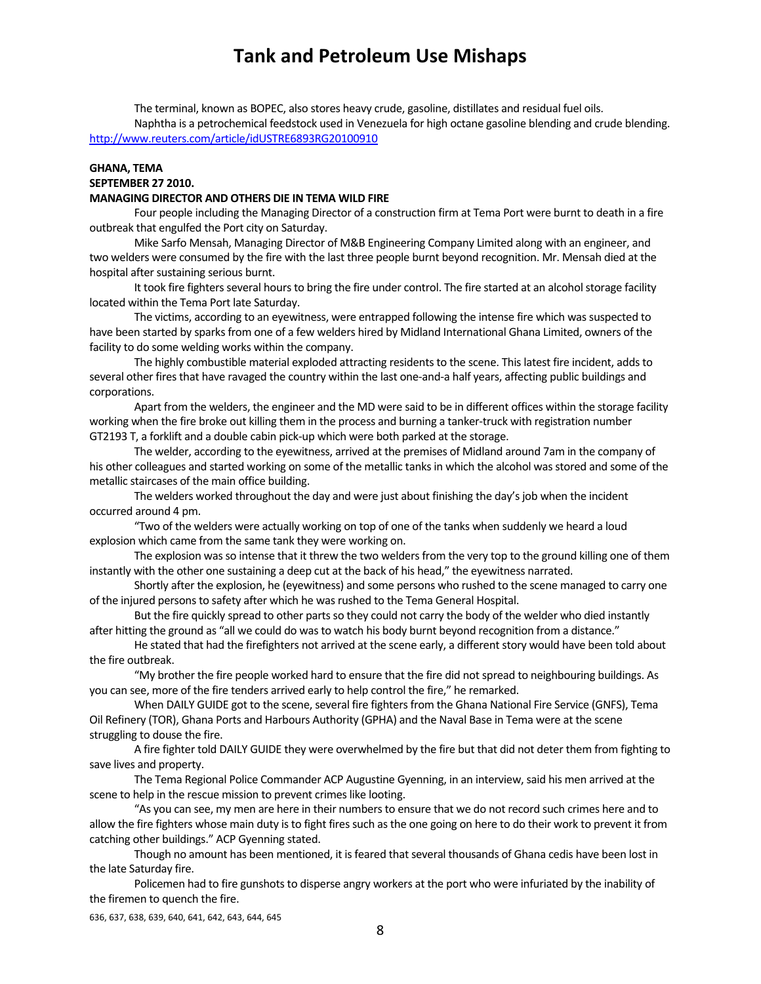The terminal, known as BOPEC, also stores heavy crude, gasoline, distillates and residual fuel oils. Naphtha is a petrochemical feedstock used in Venezuela for high octane gasoline blending and crude blending. http://www.reuters.com/article/idUSTRE6893RG20100910

## **GHANA, TEMA SEPTEMBER 27 2010.**

### **MANAGING DIRECTOR AND OTHERS DIE IN TEMA WILD FIRE**

Four people including the Managing Director of a construction firm at Tema Port were burnt to death in a fire outbreak that engulfed the Port city on Saturday.

Mike Sarfo Mensah, Managing Director of M&B Engineering Company Limited along with an engineer, and two welders were consumed by the fire with the last three people burnt beyond recognition. Mr. Mensah died at the hospital after sustaining serious burnt.

It took fire fighters several hours to bring the fire under control. The fire started at an alcohol storage facility located within the Tema Port late Saturday.

The victims, according to an eyewitness, were entrapped following the intense fire which was suspected to have been started by sparks from one of a few welders hired by Midland International Ghana Limited, owners of the facility to do some welding works within the company.

The highly combustible material exploded attracting residents to the scene. This latest fire incident, adds to several other fires that have ravaged the country within the last one-and-a half years, affecting public buildings and corporations.

Apart from the welders, the engineer and the MD were said to be in different offices within the storage facility working when the fire broke out killing them in the process and burning a tanker-truck with registration number GT2193 T, a forklift and a double cabin pick‐up which were both parked at the storage.

The welder, according to the eyewitness, arrived at the premises of Midland around 7am in the company of his other colleagues and started working on some of the metallic tanks in which the alcohol was stored and some of the metallic staircases of the main office building.

The welders worked throughout the day and were just about finishing the day's job when the incident occurred around 4 pm.

"Two of the welders were actually working on top of one of the tanks when suddenly we heard a loud explosion which came from the same tank they were working on.

The explosion was so intense that it threw the two welders from the very top to the ground killing one of them instantly with the other one sustaining a deep cut at the back of his head," the eyewitness narrated.

Shortly after the explosion, he (eyewitness) and some persons who rushed to the scene managed to carry one of the injured persons to safety after which he was rushed to the Tema General Hospital.

But the fire quickly spread to other parts so they could not carry the body of the welder who died instantly after hitting the ground as "all we could do wasto watch his body burnt beyond recognition from a distance."

He stated that had the firefighters not arrived at the scene early, a different story would have been told about the fire outbreak.

"My brother the fire people worked hard to ensure that the fire did not spread to neighbouring buildings. As you can see, more of the fire tenders arrived early to help control the fire," he remarked.

When DAILY GUIDE got to the scene, several fire fighters from the Ghana National Fire Service (GNFS), Tema Oil Refinery (TOR), Ghana Ports and Harbours Authority (GPHA) and the Naval Base in Tema were at the scene struggling to douse the fire.

A fire fighter told DAILY GUIDE they were overwhelmed by the fire but that did not deter them from fighting to save lives and property.

The Tema Regional Police Commander ACP Augustine Gyenning, in an interview, said his men arrived at the scene to help in the rescue mission to prevent crimes like looting.

"As you can see, my men are here in their numbers to ensure that we do not record such crimes here and to allow the fire fighters whose main duty is to fight fires such as the one going on here to do their work to prevent it from catching other buildings." ACP Gyenning stated.

Though no amount has been mentioned, it is feared that several thousands of Ghana cedis have been lost in the late Saturday fire.

Policemen had to fire gunshots to disperse angry workers at the port who were infuriated by the inability of the firemen to quench the fire.